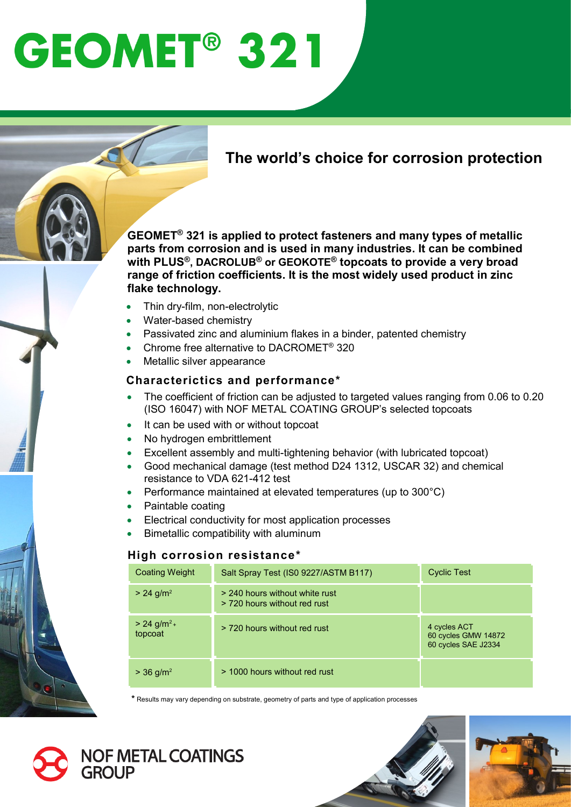# **GEOMET<sup>®</sup> 321**

# **The world's choice for corrosion protection**

**GEOMET® 321 is applied to protect fasteners and many types of metallic parts from corrosion and is used in many industries. It can be combined with PLUS®, DACROLUB® or GEOKOTE® topcoats to provide a very broad range of friction coefficients. It is the most widely used product in zinc flake technology.** 

- Thin dry-film, non-electrolytic
- Water-based chemistry
- Passivated zinc and aluminium flakes in a binder, patented chemistry
- Chrome free alternative to DACROMET® 320
- Metallic silver appearance

### **Characterictics and performance\***

- The coefficient of friction can be adjusted to targeted values ranging from 0.06 to 0.20 (ISO 16047) with NOF METAL COATING GROUP's selected topcoats
- It can be used with or without topcoat
- No hydrogen embrittlement
- Excellent assembly and multi-tightening behavior (with lubricated topcoat)
- Good mechanical damage (test method D24 1312, USCAR 32) and chemical resistance to VDA 621-412 test
- Performance maintained at elevated temperatures (up to 300°C)
- Paintable coating
- Electrical conductivity for most application processes
- Bimetallic compatibility with aluminum

#### **High corrosion resistance\***

| <b>Coating Weight</b>                | Salt Spray Test (ISO 9227/ASTM B117)                           | <b>Cyclic Test</b>                                         |
|--------------------------------------|----------------------------------------------------------------|------------------------------------------------------------|
| $> 24$ g/m <sup>2</sup>              | > 240 hours without white rust<br>> 720 hours without red rust |                                                            |
| $> 24$ g/m <sup>2</sup> +<br>topcoat | > 720 hours without red rust                                   | 4 cycles ACT<br>60 cycles GMW 14872<br>60 cycles SAE J2334 |
| $>$ 36 g/m <sup>2</sup>              | > 1000 hours without red rust                                  |                                                            |

**\*** Results may vary depending on substrate, geometry of parts and type of application processes